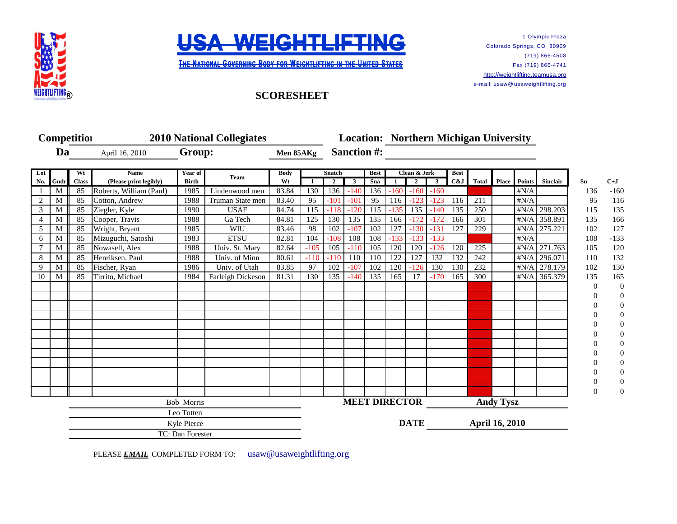



1 Olympic Plaza Colorado Springs, CO 80909 (719) 866-4508 Fax (719) 866-4741 [http://w](http://weightlifting.teamusa.org/)eightlifting.teamusa.org e-mail: usaw@ usaweightlifting.org

## **SCORESHEET**

|                |            | <b>Competition</b> | <b>2010 National Collegiates</b>      |                         |                   |                   |        |                               |        |                    |        |                                | <b>Location: Northern Michigan University</b> |                    |                  |              |              |                 |                |                  |
|----------------|------------|--------------------|---------------------------------------|-------------------------|-------------------|-------------------|--------|-------------------------------|--------|--------------------|--------|--------------------------------|-----------------------------------------------|--------------------|------------------|--------------|--------------|-----------------|----------------|------------------|
| Da             |            |                    | April 16, 2010                        | Group:                  |                   | Men 85AKg         |        | <b>Sanction #:</b>            |        |                    |        |                                |                                               |                    |                  |              |              |                 |                |                  |
|                |            |                    |                                       |                         |                   |                   |        |                               |        |                    |        |                                |                                               |                    |                  |              |              |                 |                |                  |
| Lot<br>No.     | Gndr       | Wt<br><b>Class</b> | <b>Name</b><br>(Please print legibly) | Year of<br><b>Birth</b> | Team              | <b>Body</b><br>Wt | -1     | Snatch<br>$\mathbf{2}$        | 3      | <b>Best</b><br>Sna |        | Clean & Jerk<br>$\overline{2}$ | $\mathbf{3}$                                  | <b>Best</b><br>C&J | <b>Total</b>     | <b>Place</b> | Points       | <b>Sinclair</b> | Sn             | $C+J$            |
|                | M          | 85                 | Roberts, William (Paul)               | 1985                    | Lindenwood men    | 83.84             | 130    | 136                           | $-140$ | 136                | $-160$ | $-160$                         | $-160$                                        |                    |                  |              | $\sharp N/A$ |                 | 136            | $-160$           |
| 2              | M          | 85                 | Cotton, Andrew                        | 1988                    | Truman State men  | 83.40             | 95     | $-101$                        | $-101$ | 95                 | 116    | $-123$                         | $-123$                                        | 116                | 211              |              | #N/A         |                 | 95             | 116              |
| 3              | M          | 85                 | Ziegler, Kyle                         | 1990                    | <b>USAF</b>       | 84.74             | 115    | $-118$                        | $-120$ | 115                | $-135$ | 135                            | $-140$                                        | 135                | 250              |              | $\sharp N/A$ | 298.203         | 115            | 135              |
| $\overline{4}$ | M          | 85                 | Cooper, Travis                        | 1988                    | Ga Tech           | 84.81             | 125    | 130                           | 135    | 135                | 166    | $-172$                         | $-172$                                        | 166                | 301              |              | $\sharp N/A$ | 358.891         | 135            | 166              |
| 5              | M          | 85                 | Wright, Bryant                        | 1985                    | WIU               | 83.46             | 98     | 102                           | $-107$ | 102                | 127    | $-130$                         | $-131$                                        | 127                | 229              |              | #N/A         | 275.221         | 102            | 127              |
| 6              | M          | 85                 | Mizuguchi, Satoshi                    | 1983                    | <b>ETSU</b>       | 82.81             | 104    | $-108$                        | 108    | 108                | $-133$ | $-133$                         | $-133$                                        |                    |                  |              | $\sharp N/A$ |                 | 108            | $-133$           |
|                | M          | 85                 | Nowasell, Alex                        | 1988                    | Univ. St. Mary    | 82.64             | $-105$ | 105                           | $-110$ | 105                | 120    | 120                            | $-126$                                        | 120                | 225              |              | $\sharp N/A$ | 271.763         | 105            | 120              |
| 8              | M          | 85                 | Henriksen, Paul                       | 1988                    | Univ. of Minn     | 80.61             | $-110$ | $-110$                        | 110    | 110                | 122    | 127                            | 132                                           | 132                | 242              |              | #N/A         | 296.071         | 110            | 132              |
| 9              | M          | 85                 | Fischer, Ryan                         | 1986                    | Univ. of Utah     | 83.85             | 97     | 102                           | $-107$ | 102                | 120    | $-126$                         | 130                                           | 130                | 232              |              | #N/A         | 278.179         | 102            | 130              |
| 10             | M          | 85                 | Tirrito, Michael                      | 1984                    | Farleigh Dickeson | 81.31             | 130    | 135                           | $-140$ | 135                | 165    | 17                             | $-170$                                        | 165                | 300              |              |              | #N/A 365.379    | 135            | 165              |
|                |            |                    |                                       |                         |                   |                   |        |                               |        |                    |        |                                |                                               |                    |                  |              |              |                 | $\Omega$       | $\boldsymbol{0}$ |
|                |            |                    |                                       |                         |                   |                   |        |                               |        |                    |        |                                |                                               |                    |                  |              |              |                 | $\left($       | $\boldsymbol{0}$ |
|                |            |                    |                                       |                         |                   |                   |        |                               |        |                    |        |                                |                                               |                    |                  |              |              |                 |                | $\boldsymbol{0}$ |
|                |            |                    |                                       |                         |                   |                   |        |                               |        |                    |        |                                |                                               |                    |                  |              |              |                 |                | $\boldsymbol{0}$ |
|                |            |                    |                                       |                         |                   |                   |        |                               |        |                    |        |                                |                                               |                    |                  |              |              |                 |                | $\boldsymbol{0}$ |
|                |            |                    |                                       |                         |                   |                   |        |                               |        |                    |        |                                |                                               |                    |                  |              |              |                 |                | $\boldsymbol{0}$ |
|                |            |                    |                                       |                         |                   |                   |        |                               |        |                    |        |                                |                                               |                    |                  |              |              |                 |                | $\boldsymbol{0}$ |
|                |            |                    |                                       |                         |                   |                   |        |                               |        |                    |        |                                |                                               |                    |                  |              |              |                 |                | $\boldsymbol{0}$ |
|                |            |                    |                                       |                         |                   |                   |        |                               |        |                    |        |                                |                                               |                    |                  |              |              |                 |                | $\boldsymbol{0}$ |
|                |            |                    |                                       |                         |                   |                   |        |                               |        |                    |        |                                |                                               |                    |                  |              |              |                 |                | $\boldsymbol{0}$ |
|                |            |                    |                                       |                         |                   |                   |        |                               |        |                    |        |                                |                                               |                    |                  |              |              |                 |                | $\boldsymbol{0}$ |
|                |            |                    |                                       |                         |                   |                   |        | <b>MEET DIRECTOR</b>          |        |                    |        |                                |                                               |                    |                  |              |              | $\Omega$        | $\overline{0}$ |                  |
|                | Bob Morris |                    |                                       |                         |                   |                   |        |                               |        |                    |        |                                |                                               |                    | <b>Andy Tysz</b> |              |              |                 |                |                  |
|                |            | Leo Totten         |                                       |                         |                   |                   |        |                               |        |                    |        |                                |                                               |                    |                  |              |              |                 |                |                  |
|                |            | Kyle Pierce        |                                       |                         |                   |                   |        | <b>DATE</b><br>April 16, 2010 |        |                    |        |                                |                                               |                    |                  |              |              |                 |                |                  |
|                |            | TC: Dan Forester   |                                       |                         |                   |                   |        |                               |        |                    |        |                                |                                               |                    |                  |              |              |                 |                |                  |

PLEASE **EMAIL** COMPLETED FORM TO: usaw@usaweightlifting.org